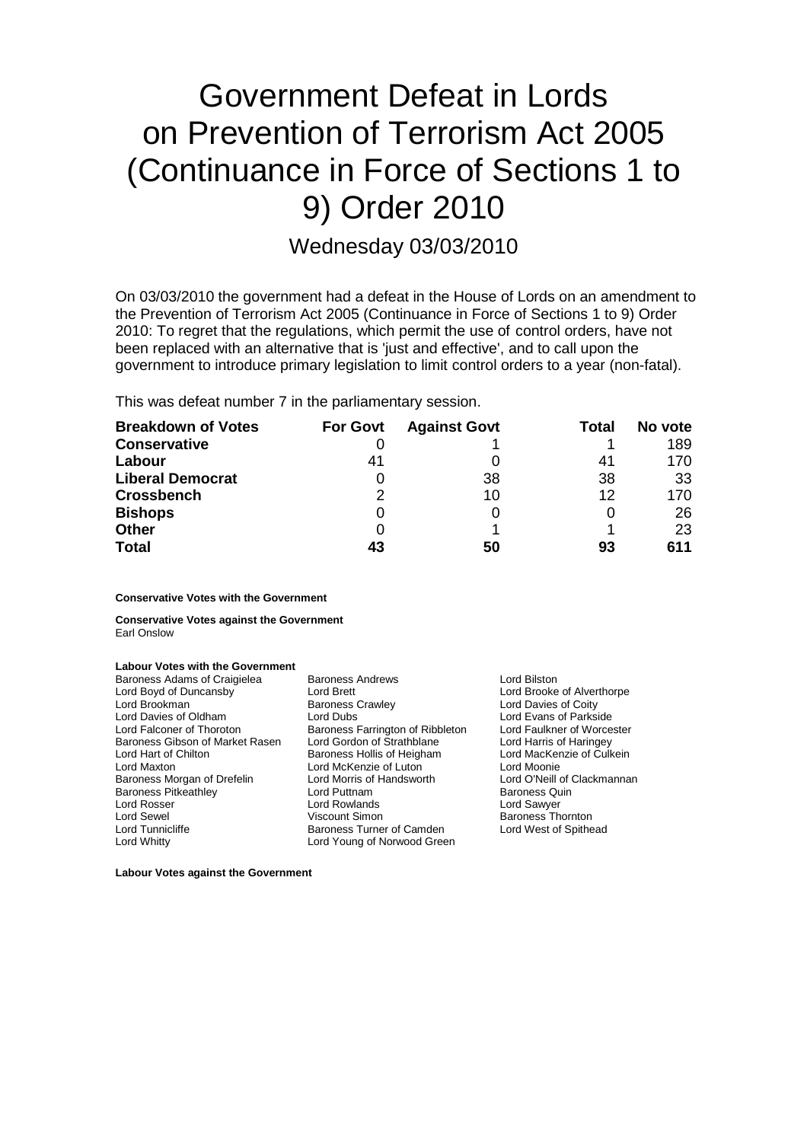# Government Defeat in Lords on Prevention of Terrorism Act 2005 (Continuance in Force of Sections 1 to 9) Order 2010

Wednesday 03/03/2010

On 03/03/2010 the government had a defeat in the House of Lords on an amendment to the Prevention of Terrorism Act 2005 (Continuance in Force of Sections 1 to 9) Order 2010: To regret that the regulations, which permit the use of control orders, have not been replaced with an alternative that is 'just and effective', and to call upon the government to introduce primary legislation to limit control orders to a year (non-fatal).

This was defeat number 7 in the parliamentary session.

| <b>Breakdown of Votes</b> | <b>For Govt</b> | <b>Against Govt</b> | Total | No vote |
|---------------------------|-----------------|---------------------|-------|---------|
| <b>Conservative</b>       |                 |                     |       | 189     |
| Labour                    | 41              |                     | 41    | 170     |
| <b>Liberal Democrat</b>   |                 | 38                  | 38    | 33      |
| <b>Crossbench</b>         | $\mathcal{P}$   | 10                  | 12    | 170     |
| <b>Bishops</b>            | 0               | 0                   |       | 26      |
| <b>Other</b>              |                 |                     |       | 23      |
| <b>Total</b>              |                 | 50                  | 93    | 611     |

**Conservative Votes with the Government**

**Conservative Votes against the Government** Earl Onslow

# **Labour Votes with the Government**

| Baroness Adams of Craigielea    | <b>Baroness Andrews</b>          | Lord Bilston                |
|---------------------------------|----------------------------------|-----------------------------|
| Lord Boyd of Duncansby          | Lord Brett                       | Lord Brooke of Alverthorpe  |
| Lord Brookman                   | <b>Baroness Crawley</b>          | Lord Davies of Coity        |
| Lord Davies of Oldham           | Lord Dubs                        | Lord Evans of Parkside      |
| Lord Falconer of Thoroton       | Baroness Farrington of Ribbleton | Lord Faulkner of Worcester  |
| Baroness Gibson of Market Rasen | Lord Gordon of Strathblane       | Lord Harris of Haringey     |
| Lord Hart of Chilton            | Baroness Hollis of Heigham       | Lord MacKenzie of Culkein   |
| Lord Maxton                     | Lord McKenzie of Luton           | Lord Moonie                 |
| Baroness Morgan of Drefelin     | Lord Morris of Handsworth        | Lord O'Neill of Clackmannan |
| <b>Baroness Pitkeathley</b>     | Lord Puttnam                     | <b>Baroness Quin</b>        |
| Lord Rosser                     | Lord Rowlands                    | Lord Sawyer                 |
| Lord Sewel                      | Viscount Simon                   | <b>Baroness Thornton</b>    |
| Lord Tunnicliffe                | Baroness Turner of Camden        | Lord West of Spithead       |
| Lord Whitty                     | Lord Young of Norwood Green      |                             |
|                                 |                                  |                             |

**Labour Votes against the Government**